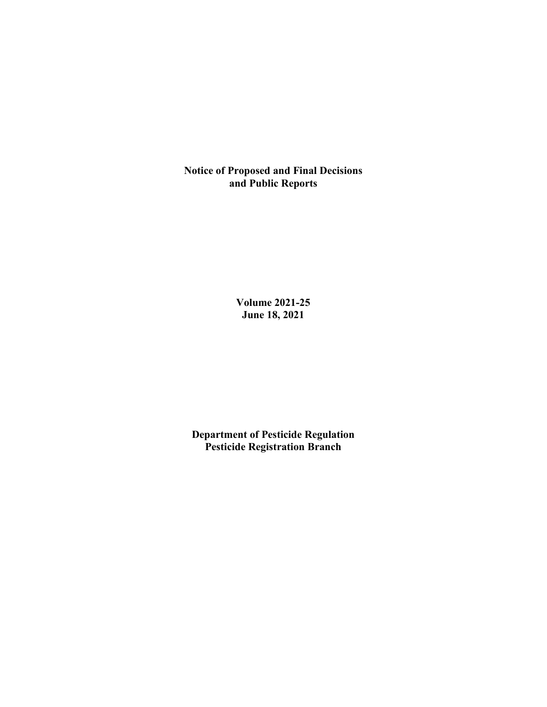**Notice of Proposed and Final Decisions and Public Reports**

> **Volume 2021-25 June 18, 2021**

**Department of Pesticide Regulation Pesticide Registration Branch**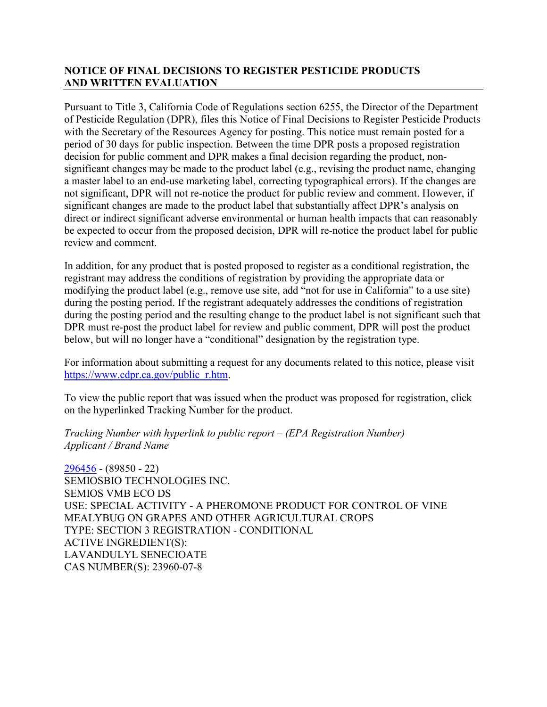# **NOTICE OF FINAL DECISIONS TO REGISTER PESTICIDE PRODUCTS AND WRITTEN EVALUATION**

Pursuant to Title 3, California Code of Regulations section 6255, the Director of the Department of Pesticide Regulation (DPR), files this Notice of Final Decisions to Register Pesticide Products with the Secretary of the Resources Agency for posting. This notice must remain posted for a period of 30 days for public inspection. Between the time DPR posts a proposed registration decision for public comment and DPR makes a final decision regarding the product, nonsignificant changes may be made to the product label (e.g., revising the product name, changing a master label to an end-use marketing label, correcting typographical errors). If the changes are not significant, DPR will not re-notice the product for public review and comment. However, if significant changes are made to the product label that substantially affect DPR's analysis on direct or indirect significant adverse environmental or human health impacts that can reasonably be expected to occur from the proposed decision, DPR will re-notice the product label for public review and comment.

In addition, for any product that is posted proposed to register as a conditional registration, the registrant may address the conditions of registration by providing the appropriate data or modifying the product label (e.g., remove use site, add "not for use in California" to a use site) during the posting period. If the registrant adequately addresses the conditions of registration during the posting period and the resulting change to the product label is not significant such that DPR must re-post the product label for review and public comment, DPR will post the product below, but will no longer have a "conditional" designation by the registration type.

For information about submitting a request for any documents related to this notice, please visit [https://www.cdpr.ca.gov/public\\_r.htm.](https://www.cdpr.ca.gov/public_r.htm)

To view the public report that was issued when the product was proposed for registration, click on the hyperlinked Tracking Number for the product.

*Tracking Number with hyperlink to public report – (EPA Registration Number) Applicant / Brand Name*

[296456](https://www.cdpr.ca.gov/docs/registration/nod/public_reports/296456.pdf) - (89850 - 22) SEMIOSBIO TECHNOLOGIES INC. SEMIOS VMB ECO DS USE: SPECIAL ACTIVITY - A PHEROMONE PRODUCT FOR CONTROL OF VINE MEALYBUG ON GRAPES AND OTHER AGRICULTURAL CROPS TYPE: SECTION 3 REGISTRATION - CONDITIONAL ACTIVE INGREDIENT(S): LAVANDULYL SENECIOATE CAS NUMBER(S): 23960-07-8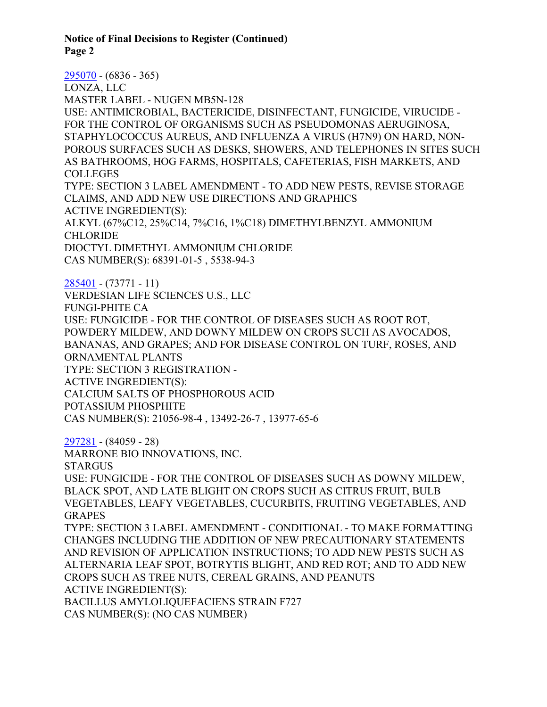**Notice of Final Decisions to Register (Continued) Page 2**

[295070](https://www.cdpr.ca.gov/docs/registration/nod/public_reports/295070.pdf) - (6836 - 365) LONZA, LLC MASTER LABEL - NUGEN MB5N-128 USE: ANTIMICROBIAL, BACTERICIDE, DISINFECTANT, FUNGICIDE, VIRUCIDE - FOR THE CONTROL OF ORGANISMS SUCH AS PSEUDOMONAS AERUGINOSA, STAPHYLOCOCCUS AUREUS, AND INFLUENZA A VIRUS (H7N9) ON HARD, NON-POROUS SURFACES SUCH AS DESKS, SHOWERS, AND TELEPHONES IN SITES SUCH AS BATHROOMS, HOG FARMS, HOSPITALS, CAFETERIAS, FISH MARKETS, AND COLLEGES TYPE: SECTION 3 LABEL AMENDMENT - TO ADD NEW PESTS, REVISE STORAGE CLAIMS, AND ADD NEW USE DIRECTIONS AND GRAPHICS ACTIVE INGREDIENT(S): ALKYL (67%C12, 25%C14, 7%C16, 1%C18) DIMETHYLBENZYL AMMONIUM CHLORIDE DIOCTYL DIMETHYL AMMONIUM CHLORIDE CAS NUMBER(S): 68391-01-5 , 5538-94-3 [285401](https://www.cdpr.ca.gov/docs/registration/nod/public_reports/285401.pdf) - (73771 - 11) VERDESIAN LIFE SCIENCES U.S., LLC FUNGI-PHITE CA USE: FUNGICIDE - FOR THE CONTROL OF DISEASES SUCH AS ROOT ROT, POWDERY MILDEW, AND DOWNY MILDEW ON CROPS SUCH AS AVOCADOS, BANANAS, AND GRAPES; AND FOR DISEASE CONTROL ON TURF, ROSES, AND ORNAMENTAL PLANTS TYPE: SECTION 3 REGISTRATION - ACTIVE INGREDIENT(S): CALCIUM SALTS OF PHOSPHOROUS ACID POTASSIUM PHOSPHITE CAS NUMBER(S): 21056-98-4 , 13492-26-7 , 13977-65-6 [297281](https://www.cdpr.ca.gov/docs/registration/nod/public_reports/297281.pdf) - (84059 - 28) MARRONE BIO INNOVATIONS, INC. STARGUS USE: FUNGICIDE - FOR THE CONTROL OF DISEASES SUCH AS DOWNY MILDEW, BLACK SPOT, AND LATE BLIGHT ON CROPS SUCH AS CITRUS FRUIT, BULB VEGETABLES, LEAFY VEGETABLES, CUCURBITS, FRUITING VEGETABLES, AND **GRAPES** TYPE: SECTION 3 LABEL AMENDMENT - CONDITIONAL - TO MAKE FORMATTING CHANGES INCLUDING THE ADDITION OF NEW PRECAUTIONARY STATEMENTS AND REVISION OF APPLICATION INSTRUCTIONS; TO ADD NEW PESTS SUCH AS ALTERNARIA LEAF SPOT, BOTRYTIS BLIGHT, AND RED ROT; AND TO ADD NEW CROPS SUCH AS TREE NUTS, CEREAL GRAINS, AND PEANUTS ACTIVE INGREDIENT(S): BACILLUS AMYLOLIQUEFACIENS STRAIN F727 CAS NUMBER(S): (NO CAS NUMBER)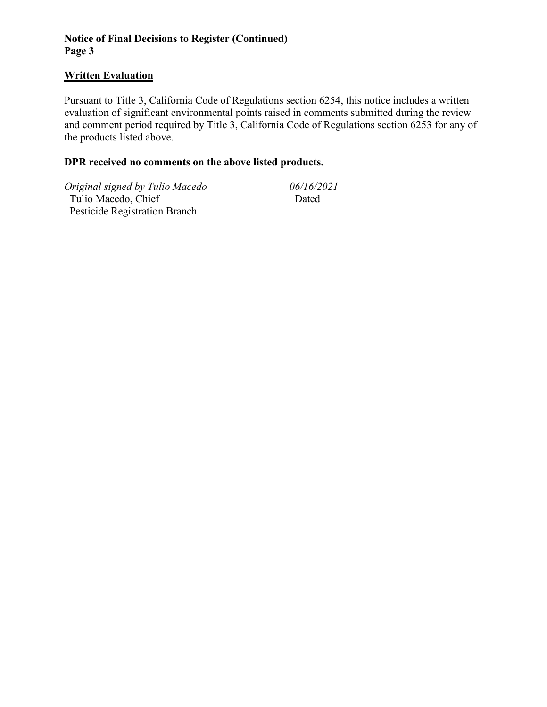# **Notice of Final Decisions to Register (Continued) Page 3**

### **Written Evaluation**

Pursuant to Title 3, California Code of Regulations section 6254, this notice includes a written evaluation of significant environmental points raised in comments submitted during the review and comment period required by Title 3, California Code of Regulations section 6253 for any of the products listed above.

# **DPR received no comments on the above listed products.**

*Original signed by Tulio Macedo 06/16/2021*

 Tulio Macedo, Chief Pesticide Registration Branch Dated